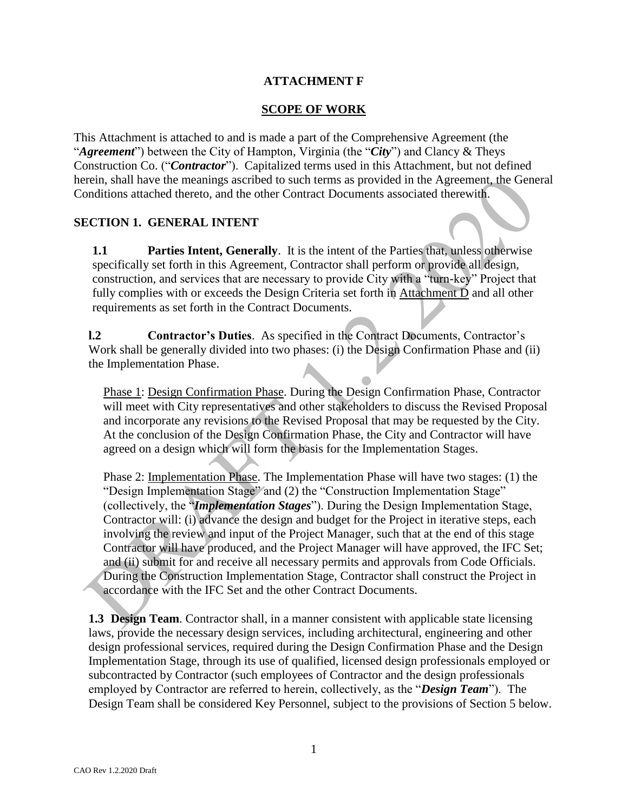## **ATTACHMENT F**

#### **SCOPE OF WORK**

This Attachment is attached to and is made a part of the Comprehensive Agreement (the "*Agreement*") between the City of Hampton, Virginia (the "*City*") and Clancy & Theys Construction Co. ("*Contractor*"). Capitalized terms used in this Attachment, but not defined herein, shall have the meanings ascribed to such terms as provided in the Agreement, the General Conditions attached thereto, and the other Contract Documents associated therewith.

#### **SECTION 1. GENERAL INTENT**

**1.1 Parties Intent, Generally**. It is the intent of the Parties that, unless otherwise specifically set forth in this Agreement, Contractor shall perform or provide all design, construction, and services that are necessary to provide City with a "turn-key" Project that fully complies with or exceeds the Design Criteria set forth in Attachment D and all other requirements as set forth in the Contract Documents.

**l.2 Contractor's Duties**. As specified in the Contract Documents, Contractor's Work shall be generally divided into two phases: (i) the Design Confirmation Phase and (ii) the Implementation Phase.

Phase 1: Design Confirmation Phase. During the Design Confirmation Phase, Contractor will meet with City representatives and other stakeholders to discuss the Revised Proposal and incorporate any revisions to the Revised Proposal that may be requested by the City. At the conclusion of the Design Confirmation Phase, the City and Contractor will have agreed on a design which will form the basis for the Implementation Stages.

Phase 2: Implementation Phase. The Implementation Phase will have two stages: (1) the "Design Implementation Stage" and (2) the "Construction Implementation Stage" (collectively, the "*Implementation Stages*"). During the Design Implementation Stage, Contractor will: (i) advance the design and budget for the Project in iterative steps, each involving the review and input of the Project Manager, such that at the end of this stage Contractor will have produced, and the Project Manager will have approved, the IFC Set; and (ii) submit for and receive all necessary permits and approvals from Code Officials. During the Construction Implementation Stage, Contractor shall construct the Project in accordance with the IFC Set and the other Contract Documents.

**1.3 Design Team**. Contractor shall, in a manner consistent with applicable state licensing laws, provide the necessary design services, including architectural, engineering and other design professional services, required during the Design Confirmation Phase and the Design Implementation Stage, through its use of qualified, licensed design professionals employed or subcontracted by Contractor (such employees of Contractor and the design professionals employed by Contractor are referred to herein, collectively, as the "*Design Team*"). The Design Team shall be considered Key Personnel, subject to the provisions of Section 5 below.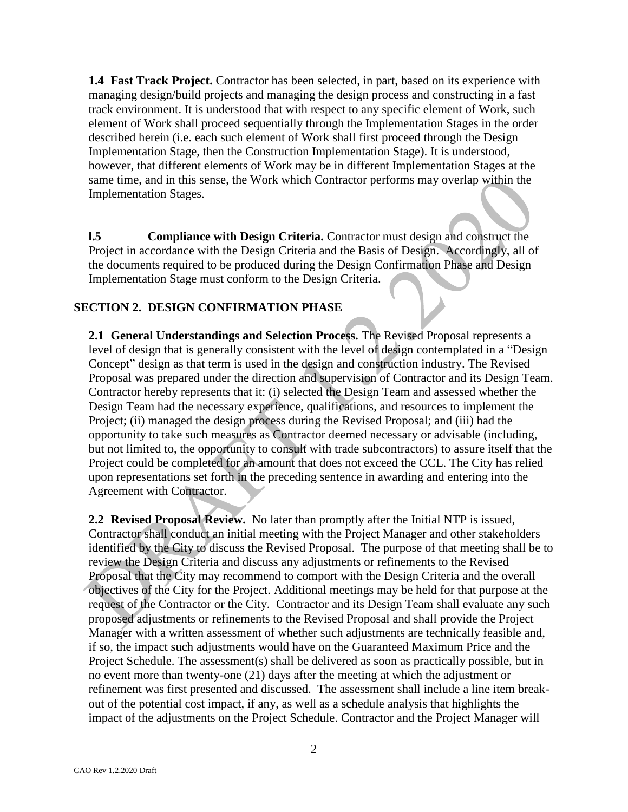**1.4 Fast Track Project.** Contractor has been selected, in part, based on its experience with managing design/build projects and managing the design process and constructing in a fast track environment. It is understood that with respect to any specific element of Work, such element of Work shall proceed sequentially through the Implementation Stages in the order described herein (i.e. each such element of Work shall first proceed through the Design Implementation Stage, then the Construction Implementation Stage). It is understood, however, that different elements of Work may be in different Implementation Stages at the same time, and in this sense, the Work which Contractor performs may overlap within the Implementation Stages.

**l.5 Compliance with Design Criteria.** Contractor must design and construct the Project in accordance with the Design Criteria and the Basis of Design. Accordingly, all of the documents required to be produced during the Design Confirmation Phase and Design Implementation Stage must conform to the Design Criteria.

### **SECTION 2. DESIGN CONFIRMATION PHASE**

**2.1 General Understandings and Selection Process.** The Revised Proposal represents a level of design that is generally consistent with the level of design contemplated in a "Design Concept" design as that term is used in the design and construction industry. The Revised Proposal was prepared under the direction and supervision of Contractor and its Design Team. Contractor hereby represents that it: (i) selected the Design Team and assessed whether the Design Team had the necessary experience, qualifications, and resources to implement the Project; (ii) managed the design process during the Revised Proposal; and (iii) had the opportunity to take such measures as Contractor deemed necessary or advisable (including, but not limited to, the opportunity to consult with trade subcontractors) to assure itself that the Project could be completed for an amount that does not exceed the CCL. The City has relied upon representations set forth in the preceding sentence in awarding and entering into the Agreement with Contractor.

**2.2 Revised Proposal Review.** No later than promptly after the Initial NTP is issued, Contractor shall conduct an initial meeting with the Project Manager and other stakeholders identified by the City to discuss the Revised Proposal. The purpose of that meeting shall be to review the Design Criteria and discuss any adjustments or refinements to the Revised Proposal that the City may recommend to comport with the Design Criteria and the overall objectives of the City for the Project. Additional meetings may be held for that purpose at the request of the Contractor or the City. Contractor and its Design Team shall evaluate any such proposed adjustments or refinements to the Revised Proposal and shall provide the Project Manager with a written assessment of whether such adjustments are technically feasible and, if so, the impact such adjustments would have on the Guaranteed Maximum Price and the Project Schedule. The assessment(s) shall be delivered as soon as practically possible, but in no event more than twenty-one (21) days after the meeting at which the adjustment or refinement was first presented and discussed. The assessment shall include a line item breakout of the potential cost impact, if any, as well as a schedule analysis that highlights the impact of the adjustments on the Project Schedule. Contractor and the Project Manager will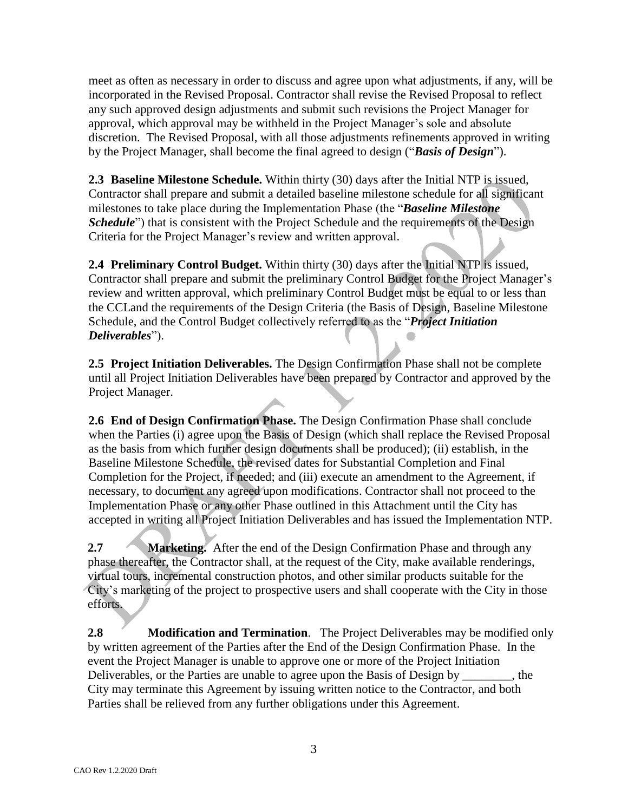meet as often as necessary in order to discuss and agree upon what adjustments, if any, will be incorporated in the Revised Proposal. Contractor shall revise the Revised Proposal to reflect any such approved design adjustments and submit such revisions the Project Manager for approval, which approval may be withheld in the Project Manager's sole and absolute discretion. The Revised Proposal, with all those adjustments refinements approved in writing by the Project Manager, shall become the final agreed to design ("*Basis of Design*").

**2.3 Baseline Milestone Schedule.** Within thirty (30) days after the Initial NTP is issued, Contractor shall prepare and submit a detailed baseline milestone schedule for all significant milestones to take place during the Implementation Phase (the "*Baseline Milestone Schedule*") that is consistent with the Project Schedule and the requirements of the Design Criteria for the Project Manager's review and written approval.

**2.4 Preliminary Control Budget.** Within thirty (30) days after the Initial NTP is issued, Contractor shall prepare and submit the preliminary Control Budget for the Project Manager's review and written approval, which preliminary Control Budget must be equal to or less than the CCLand the requirements of the Design Criteria (the Basis of Design, Baseline Milestone Schedule, and the Control Budget collectively referred to as the "*Project Initiation Deliverables*").

**2.5 Project Initiation Deliverables.** The Design Confirmation Phase shall not be complete until all Project Initiation Deliverables have been prepared by Contractor and approved by the Project Manager.

**2.6 End of Design Confirmation Phase.** The Design Confirmation Phase shall conclude when the Parties (i) agree upon the Basis of Design (which shall replace the Revised Proposal as the basis from which further design documents shall be produced); (ii) establish, in the Baseline Milestone Schedule, the revised dates for Substantial Completion and Final Completion for the Project, if needed; and (iii) execute an amendment to the Agreement, if necessary, to document any agreed upon modifications. Contractor shall not proceed to the Implementation Phase or any other Phase outlined in this Attachment until the City has accepted in writing all Project Initiation Deliverables and has issued the Implementation NTP.

**2.7 Marketing.** After the end of the Design Confirmation Phase and through any phase thereafter, the Contractor shall, at the request of the City, make available renderings, virtual tours, incremental construction photos, and other similar products suitable for the City's marketing of the project to prospective users and shall cooperate with the City in those efforts.

**2.8 Modification and Termination**. The Project Deliverables may be modified only by written agreement of the Parties after the End of the Design Confirmation Phase. In the event the Project Manager is unable to approve one or more of the Project Initiation Deliverables, or the Parties are unable to agree upon the Basis of Design by \_\_\_\_\_\_\_, the City may terminate this Agreement by issuing written notice to the Contractor, and both Parties shall be relieved from any further obligations under this Agreement.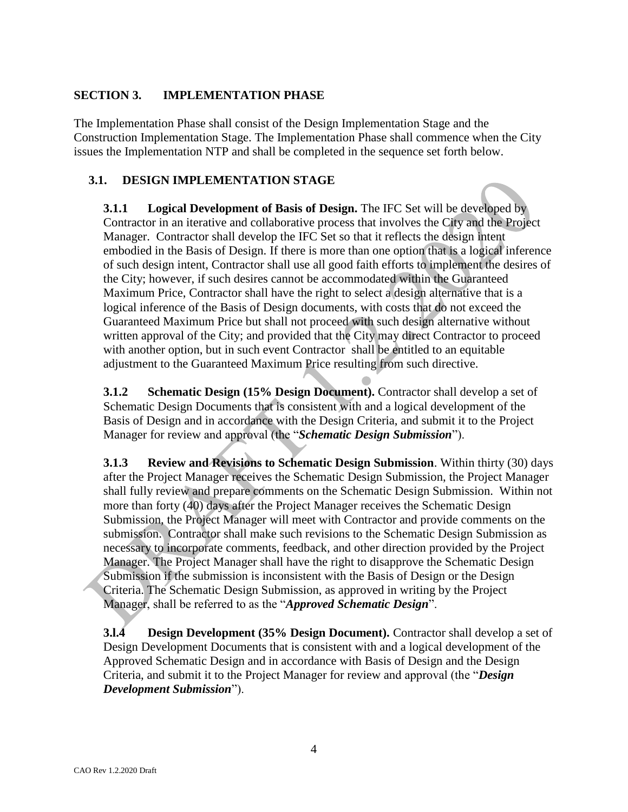#### **SECTION 3. IMPLEMENTATION PHASE**

The Implementation Phase shall consist of the Design Implementation Stage and the Construction Implementation Stage. The Implementation Phase shall commence when the City issues the Implementation NTP and shall be completed in the sequence set forth below.

## **3.1. DESIGN IMPLEMENTATION STAGE**

**3.1.1 Logical Development of Basis of Design.** The IFC Set will be developed by Contractor in an iterative and collaborative process that involves the City and the Project Manager. Contractor shall develop the IFC Set so that it reflects the design intent embodied in the Basis of Design. If there is more than one option that is a logical inference of such design intent, Contractor shall use all good faith efforts to implement the desires of the City; however, if such desires cannot be accommodated within the Guaranteed Maximum Price, Contractor shall have the right to select a design alternative that is a logical inference of the Basis of Design documents, with costs that do not exceed the Guaranteed Maximum Price but shall not proceed with such design alternative without written approval of the City; and provided that the City may direct Contractor to proceed with another option, but in such event Contractor shall be entitled to an equitable adjustment to the Guaranteed Maximum Price resulting from such directive.

**3.1.2 Schematic Design (15% Design Document).** Contractor shall develop a set of Schematic Design Documents that is consistent with and a logical development of the Basis of Design and in accordance with the Design Criteria, and submit it to the Project Manager for review and approval (the "*Schematic Design Submission*").

**3.1.3 Review and Revisions to Schematic Design Submission**. Within thirty (30) days after the Project Manager receives the Schematic Design Submission, the Project Manager shall fully review and prepare comments on the Schematic Design Submission. Within not more than forty (40) days after the Project Manager receives the Schematic Design Submission, the Project Manager will meet with Contractor and provide comments on the submission. Contractor shall make such revisions to the Schematic Design Submission as necessary to incorporate comments, feedback, and other direction provided by the Project Manager. The Project Manager shall have the right to disapprove the Schematic Design Submission if the submission is inconsistent with the Basis of Design or the Design Criteria. The Schematic Design Submission, as approved in writing by the Project Manager, shall be referred to as the "*Approved Schematic Design*".

**3.l.4 Design Development (35% Design Document).** Contractor shall develop a set of Design Development Documents that is consistent with and a logical development of the Approved Schematic Design and in accordance with Basis of Design and the Design Criteria, and submit it to the Project Manager for review and approval (the "*Design Development Submission*").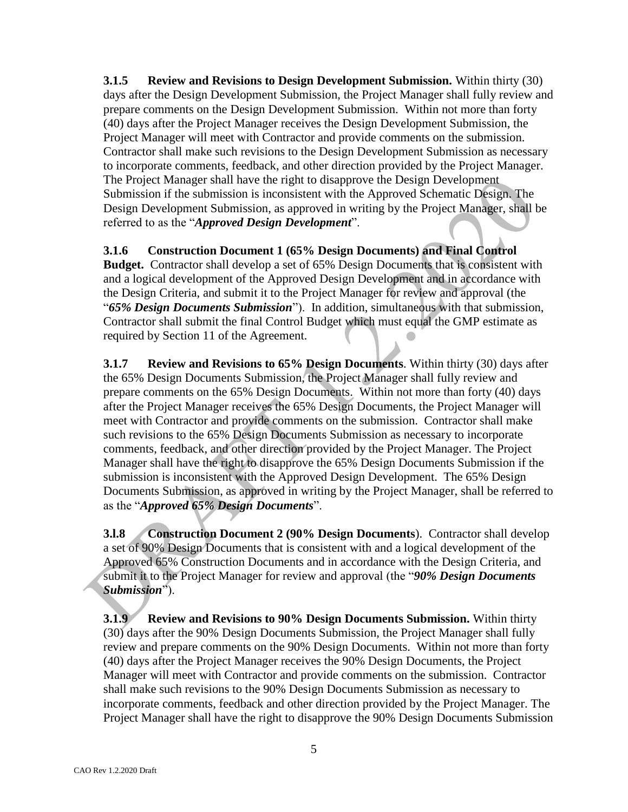**3.1.5 Review and Revisions to Design Development Submission.** Within thirty (30) days after the Design Development Submission, the Project Manager shall fully review and prepare comments on the Design Development Submission. Within not more than forty (40) days after the Project Manager receives the Design Development Submission, the Project Manager will meet with Contractor and provide comments on the submission. Contractor shall make such revisions to the Design Development Submission as necessary to incorporate comments, feedback, and other direction provided by the Project Manager. The Project Manager shall have the right to disapprove the Design Development Submission if the submission is inconsistent with the Approved Schematic Design. The Design Development Submission, as approved in writing by the Project Manager, shall be referred to as the "*Approved Design Development*".

## **3.1.6 Construction Document 1 (65% Design Documents) and Final Control**

**Budget.** Contractor shall develop a set of 65% Design Documents that is consistent with and a logical development of the Approved Design Development and in accordance with the Design Criteria, and submit it to the Project Manager for review and approval (the "*65% Design Documents Submission*"). In addition, simultaneous with that submission, Contractor shall submit the final Control Budget which must equal the GMP estimate as required by Section 11 of the Agreement.

**3.1.7 Review and Revisions to 65% Design Documents**. Within thirty (30) days after the 65% Design Documents Submission, the Project Manager shall fully review and prepare comments on the 65% Design Documents. Within not more than forty (40) days after the Project Manager receives the 65% Design Documents, the Project Manager will meet with Contractor and provide comments on the submission. Contractor shall make such revisions to the 65% Design Documents Submission as necessary to incorporate comments, feedback, and other direction provided by the Project Manager. The Project Manager shall have the right to disapprove the 65% Design Documents Submission if the submission is inconsistent with the Approved Design Development. The 65% Design Documents Submission, as approved in writing by the Project Manager, shall be referred to as the "*Approved 65% Design Documents*".

**3.l.8 Construction Document 2 (90% Design Documents**). Contractor shall develop a set of 90% Design Documents that is consistent with and a logical development of the Approved 65% Construction Documents and in accordance with the Design Criteria, and submit it to the Project Manager for review and approval (the "*90% Design Documents Submission*").

**3.1.9 Review and Revisions to 90% Design Documents Submission.** Within thirty (30) days after the 90% Design Documents Submission, the Project Manager shall fully review and prepare comments on the 90% Design Documents. Within not more than forty (40) days after the Project Manager receives the 90% Design Documents, the Project Manager will meet with Contractor and provide comments on the submission. Contractor shall make such revisions to the 90% Design Documents Submission as necessary to incorporate comments, feedback and other direction provided by the Project Manager. The Project Manager shall have the right to disapprove the 90% Design Documents Submission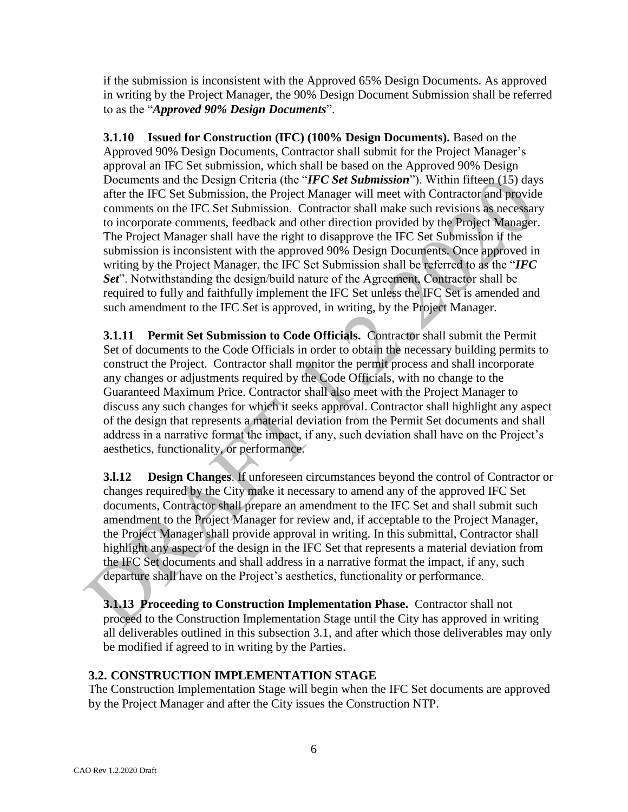if the submission is inconsistent with the Approved 65% Design Documents. As approved in writing by the Project Manager, the 90% Design Document Submission shall be referred to as the "*Approved 90% Design Documents*".

**3.1.10 Issued for Construction (IFC) (100% Design Documents).** Based on the Approved 90% Design Documents, Contractor shall submit for the Project Manager's approval an IFC Set submission, which shall be based on the Approved 90% Design Documents and the Design Criteria (the "*IFC Set Submission*"). Within fifteen (15) days after the IFC Set Submission, the Project Manager will meet with Contractor and provide comments on the IFC Set Submission. Contractor shall make such revisions as necessary to incorporate comments, feedback and other direction provided by the Project Manager. The Project Manager shall have the right to disapprove the IFC Set Submission if the submission is inconsistent with the approved 90% Design Documents. Once approved in writing by the Project Manager, the IFC Set Submission shall be referred to as the "*IFC Set*". Notwithstanding the design/build nature of the Agreement, Contractor shall be required to fully and faithfully implement the IFC Set unless the IFC Set is amended and such amendment to the IFC Set is approved, in writing, by the Project Manager.

**3.1.11 Permit Set Submission to Code Officials.** Contractor shall submit the Permit Set of documents to the Code Officials in order to obtain the necessary building permits to construct the Project. Contractor shall monitor the permit process and shall incorporate any changes or adjustments required by the Code Officials, with no change to the Guaranteed Maximum Price. Contractor shall also meet with the Project Manager to discuss any such changes for which it seeks approval. Contractor shall highlight any aspect of the design that represents a material deviation from the Permit Set documents and shall address in a narrative format the impact, if any, such deviation shall have on the Project's aesthetics, functionality, or performance.

**3.l.12 Design Changes**. If unforeseen circumstances beyond the control of Contractor or changes required by the City make it necessary to amend any of the approved IFC Set documents, Contractor shall prepare an amendment to the IFC Set and shall submit such amendment to the Project Manager for review and, if acceptable to the Project Manager, the Project Manager shall provide approval in writing. In this submittal, Contractor shall highlight any aspect of the design in the IFC Set that represents a material deviation from the IFC Set documents and shall address in a narrative format the impact, if any, such departure shall have on the Project's aesthetics, functionality or performance.

**3.1.13 Proceeding to Construction Implementation Phase.** Contractor shall not proceed to the Construction Implementation Stage until the City has approved in writing all deliverables outlined in this subsection 3.1, and after which those deliverables may only be modified if agreed to in writing by the Parties.

### **3.2. CONSTRUCTION IMPLEMENTATION STAGE**

The Construction Implementation Stage will begin when the IFC Set documents are approved by the Project Manager and after the City issues the Construction NTP.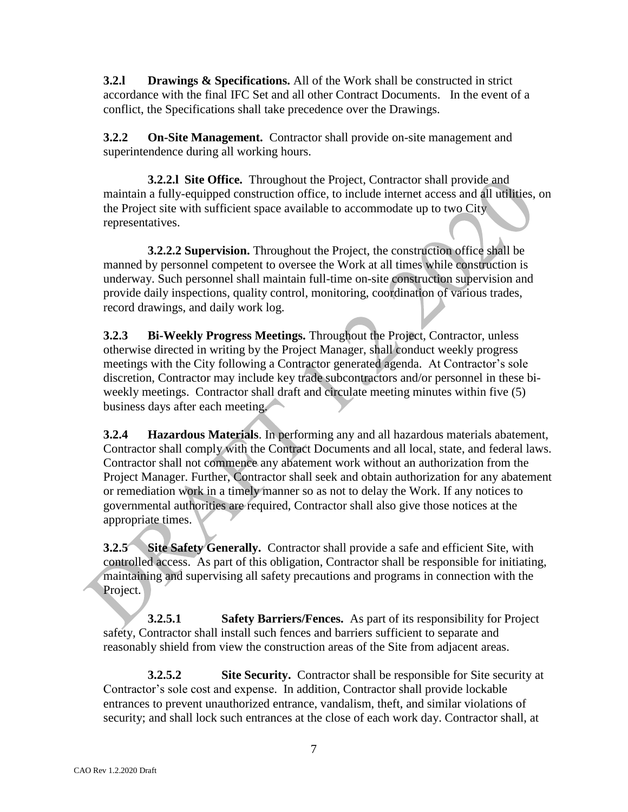**3.2.l Drawings & Specifications.** All of the Work shall be constructed in strict accordance with the final IFC Set and all other Contract Documents. In the event of a conflict, the Specifications shall take precedence over the Drawings.

**3.2.2 On-Site Management.** Contractor shall provide on-site management and superintendence during all working hours.

**3.2.2.l Site Office.** Throughout the Project, Contractor shall provide and maintain a fully-equipped construction office, to include internet access and all utilities, on the Project site with sufficient space available to accommodate up to two City representatives.

**3.2.2.2 Supervision.** Throughout the Project, the construction office shall be manned by personnel competent to oversee the Work at all times while construction is underway. Such personnel shall maintain full-time on-site construction supervision and provide daily inspections, quality control, monitoring, coordination of various trades, record drawings, and daily work log.

**3.2.3 Bi-Weekly Progress Meetings.** Throughout the Project, Contractor, unless otherwise directed in writing by the Project Manager, shall conduct weekly progress meetings with the City following a Contractor generated agenda. At Contractor's sole discretion, Contractor may include key trade subcontractors and/or personnel in these biweekly meetings. Contractor shall draft and circulate meeting minutes within five (5) business days after each meeting.

**3.2.4 Hazardous Materials**. In performing any and all hazardous materials abatement, Contractor shall comply with the Contract Documents and all local, state, and federal laws. Contractor shall not commence any abatement work without an authorization from the Project Manager. Further, Contractor shall seek and obtain authorization for any abatement or remediation work in a timely manner so as not to delay the Work. If any notices to governmental authorities are required, Contractor shall also give those notices at the appropriate times.

**3.2.5 Site Safety Generally.** Contractor shall provide a safe and efficient Site, with controlled access. As part of this obligation, Contractor shall be responsible for initiating, maintaining and supervising all safety precautions and programs in connection with the Project.

**3.2.5.1 Safety Barriers/Fences.** As part of its responsibility for Project safety, Contractor shall install such fences and barriers sufficient to separate and reasonably shield from view the construction areas of the Site from adjacent areas.

**3.2.5.2 Site Security.** Contractor shall be responsible for Site security at Contractor's sole cost and expense. In addition, Contractor shall provide lockable entrances to prevent unauthorized entrance, vandalism, theft, and similar violations of security; and shall lock such entrances at the close of each work day. Contractor shall, at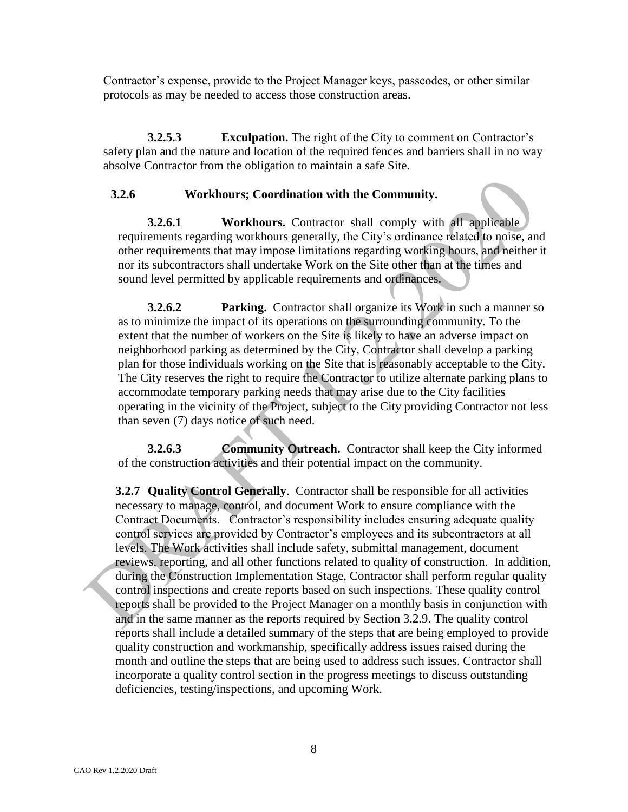Contractor's expense, provide to the Project Manager keys, passcodes, or other similar protocols as may be needed to access those construction areas.

**3.2.5.3 Exculpation.** The right of the City to comment on Contractor's safety plan and the nature and location of the required fences and barriers shall in no way absolve Contractor from the obligation to maintain a safe Site.

#### **3.2.6 Workhours; Coordination with the Community.**

**3.2.6.1 Workhours.** Contractor shall comply with all applicable requirements regarding workhours generally, the City's ordinance related to noise, and other requirements that may impose limitations regarding working hours, and neither it nor its subcontractors shall undertake Work on the Site other than at the times and sound level permitted by applicable requirements and ordinances.

**3.2.6.2 Parking.** Contractor shall organize its Work in such a manner so as to minimize the impact of its operations on the surrounding community. To the extent that the number of workers on the Site is likely to have an adverse impact on neighborhood parking as determined by the City, Contractor shall develop a parking plan for those individuals working on the Site that is reasonably acceptable to the City. The City reserves the right to require the Contractor to utilize alternate parking plans to accommodate temporary parking needs that may arise due to the City facilities operating in the vicinity of the Project, subject to the City providing Contractor not less than seven (7) days notice of such need.

**3.2.6.3 Community Outreach.** Contractor shall keep the City informed of the construction activities and their potential impact on the community.

**3.2.7 Quality Control Generally**. Contractor shall be responsible for all activities necessary to manage, control, and document Work to ensure compliance with the Contract Documents. Contractor's responsibility includes ensuring adequate quality control services are provided by Contractor's employees and its subcontractors at all levels. The Work activities shall include safety, submittal management, document reviews, reporting, and all other functions related to quality of construction. In addition, during the Construction Implementation Stage, Contractor shall perform regular quality control inspections and create reports based on such inspections. These quality control reports shall be provided to the Project Manager on a monthly basis in conjunction with and in the same manner as the reports required by Section 3.2.9. The quality control reports shall include a detailed summary of the steps that are being employed to provide quality construction and workmanship, specifically address issues raised during the month and outline the steps that are being used to address such issues. Contractor shall incorporate a quality control section in the progress meetings to discuss outstanding deficiencies, testing/inspections, and upcoming Work.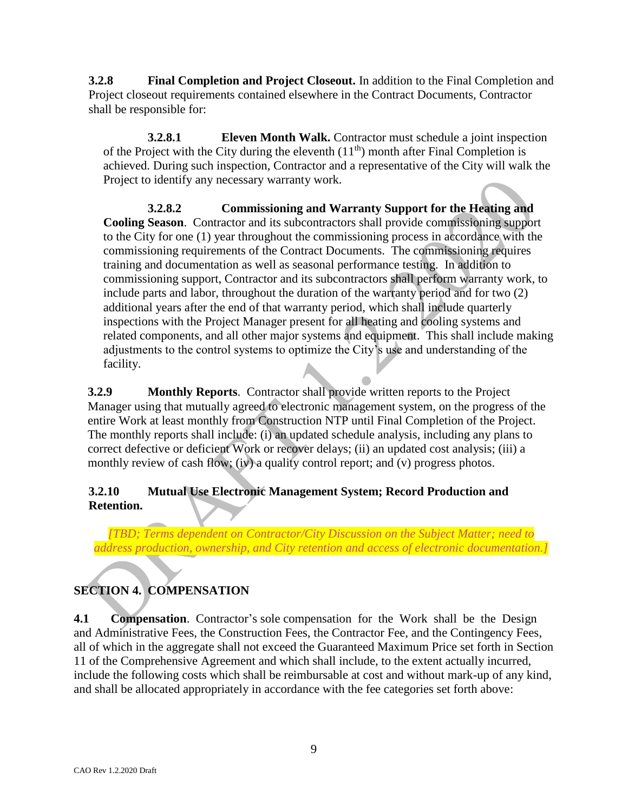**3.2.8 Final Completion and Project Closeout.** In addition to the Final Completion and Project closeout requirements contained elsewhere in the Contract Documents, Contractor shall be responsible for:

**3.2.8.1 Eleven Month Walk.** Contractor must schedule a joint inspection of the Project with the City during the eleventh  $(11<sup>th</sup>)$  month after Final Completion is achieved. During such inspection, Contractor and a representative of the City will walk the Project to identify any necessary warranty work.

**3.2.8.2 Commissioning and Warranty Support for the Heating and Cooling Season**. Contractor and its subcontractors shall provide commissioning support to the City for one (1) year throughout the commissioning process in accordance with the commissioning requirements of the Contract Documents. The commissioning requires training and documentation as well as seasonal performance testing. In addition to commissioning support, Contractor and its subcontractors shall perform warranty work, to include parts and labor, throughout the duration of the warranty period and for two (2) additional years after the end of that warranty period, which shall include quarterly inspections with the Project Manager present for all heating and cooling systems and related components, and all other major systems and equipment. This shall include making adjustments to the control systems to optimize the City's use and understanding of the facility.

**3.2.9 Monthly Reports**. Contractor shall provide written reports to the Project Manager using that mutually agreed to electronic management system, on the progress of the entire Work at least monthly from Construction NTP until Final Completion of the Project. The monthly reports shall include: (i) an updated schedule analysis, including any plans to correct defective or deficient Work or recover delays; (ii) an updated cost analysis; (iii) a monthly review of cash flow; (iv) a quality control report; and (v) progress photos.

# **3.2.10 Mutual Use Electronic Management System; Record Production and Retention.**

*[TBD; Terms dependent on Contractor/City Discussion on the Subject Matter; need to address production, ownership, and City retention and access of electronic documentation.]*

# **SECTION 4. COMPENSATION**

**4.1 Compensation**. Contractor's sole compensation for the Work shall be the Design and Administrative Fees, the Construction Fees, the Contractor Fee, and the Contingency Fees, all of which in the aggregate shall not exceed the Guaranteed Maximum Price set forth in Section 11 of the Comprehensive Agreement and which shall include, to the extent actually incurred, include the following costs which shall be reimbursable at cost and without mark-up of any kind, and shall be allocated appropriately in accordance with the fee categories set forth above: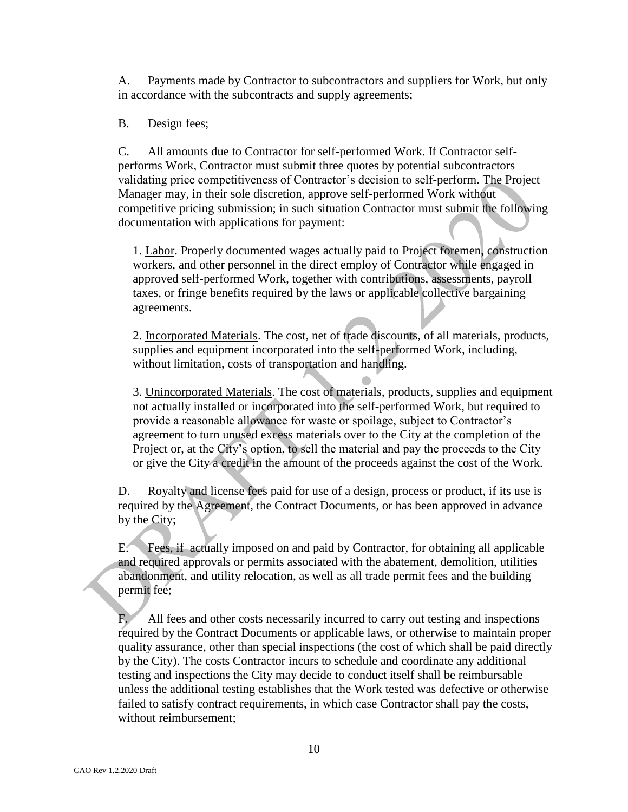A. Payments made by Contractor to subcontractors and suppliers for Work, but only in accordance with the subcontracts and supply agreements;

B. Design fees;

C. All amounts due to Contractor for self-performed Work. If Contractor selfperforms Work, Contractor must submit three quotes by potential subcontractors validating price competitiveness of Contractor's decision to self-perform. The Project Manager may, in their sole discretion, approve self-performed Work without competitive pricing submission; in such situation Contractor must submit the following documentation with applications for payment:

1. Labor. Properly documented wages actually paid to Project foremen, construction workers, and other personnel in the direct employ of Contractor while engaged in approved self-performed Work, together with contributions, assessments, payroll taxes, or fringe benefits required by the laws or applicable collective bargaining agreements.

2. Incorporated Materials. The cost, net of trade discounts, of all materials, products, supplies and equipment incorporated into the self-performed Work, including, without limitation, costs of transportation and handling.

3. Unincorporated Materials. The cost of materials, products, supplies and equipment not actually installed or incorporated into the self-performed Work, but required to provide a reasonable allowance for waste or spoilage, subject to Contractor's agreement to turn unused excess materials over to the City at the completion of the Project or, at the City's option, to sell the material and pay the proceeds to the City or give the City a credit in the amount of the proceeds against the cost of the Work.

D. Royalty and license fees paid for use of a design, process or product, if its use is required by the Agreement, the Contract Documents, or has been approved in advance by the City;

E. Fees, if actually imposed on and paid by Contractor, for obtaining all applicable and required approvals or permits associated with the abatement, demolition, utilities abandonment, and utility relocation, as well as all trade permit fees and the building permit fee;

All fees and other costs necessarily incurred to carry out testing and inspections required by the Contract Documents or applicable laws, or otherwise to maintain proper quality assurance, other than special inspections (the cost of which shall be paid directly by the City). The costs Contractor incurs to schedule and coordinate any additional testing and inspections the City may decide to conduct itself shall be reimbursable unless the additional testing establishes that the Work tested was defective or otherwise failed to satisfy contract requirements, in which case Contractor shall pay the costs, without reimbursement;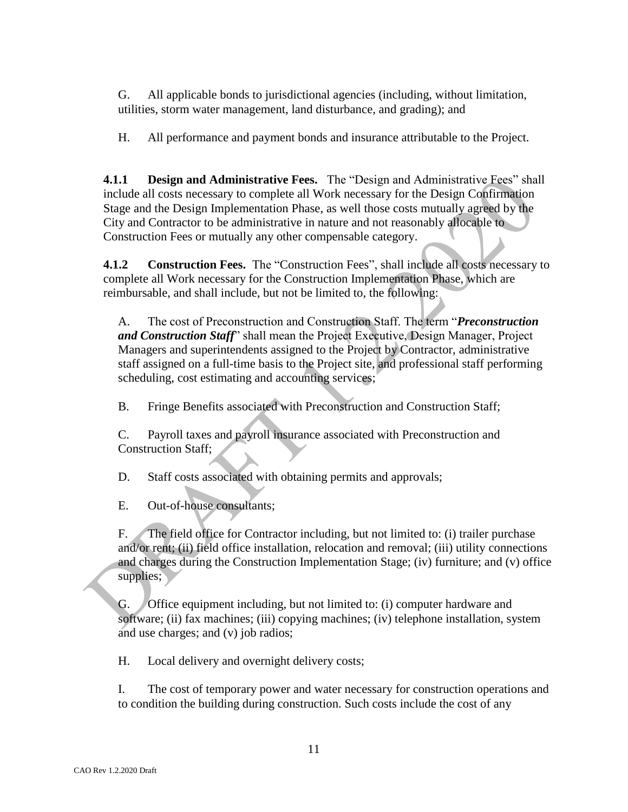G. All applicable bonds to jurisdictional agencies (including, without limitation, utilities, storm water management, land disturbance, and grading); and

H. All performance and payment bonds and insurance attributable to the Project.

**4.1.1 Design and Administrative Fees.** The "Design and Administrative Fees" shall include all costs necessary to complete all Work necessary for the Design Confirmation Stage and the Design Implementation Phase, as well those costs mutually agreed by the City and Contractor to be administrative in nature and not reasonably allocable to Construction Fees or mutually any other compensable category.

**4.1.2 Construction Fees.** The "Construction Fees", shall include all costs necessary to complete all Work necessary for the Construction Implementation Phase, which are reimbursable, and shall include, but not be limited to, the following:

A. The cost of Preconstruction and Construction Staff. The term "*Preconstruction and Construction Staff*" shall mean the Project Executive, Design Manager, Project Managers and superintendents assigned to the Project by Contractor, administrative staff assigned on a full-time basis to the Project site, and professional staff performing scheduling, cost estimating and accounting services;

B. Fringe Benefits associated with Preconstruction and Construction Staff;

C. Payroll taxes and payroll insurance associated with Preconstruction and Construction Staff;

D. Staff costs associated with obtaining permits and approvals;

E. Out-of-house consultants;

F. The field office for Contractor including, but not limited to: (i) trailer purchase and/or rent; (ii) field office installation, relocation and removal; (iii) utility connections and charges during the Construction Implementation Stage; (iv) furniture; and (v) office supplies;

G. Office equipment including, but not limited to: (i) computer hardware and software; (ii) fax machines; (iii) copying machines; (iv) telephone installation, system and use charges; and (v) job radios;

H. Local delivery and overnight delivery costs;

I. The cost of temporary power and water necessary for construction operations and to condition the building during construction. Such costs include the cost of any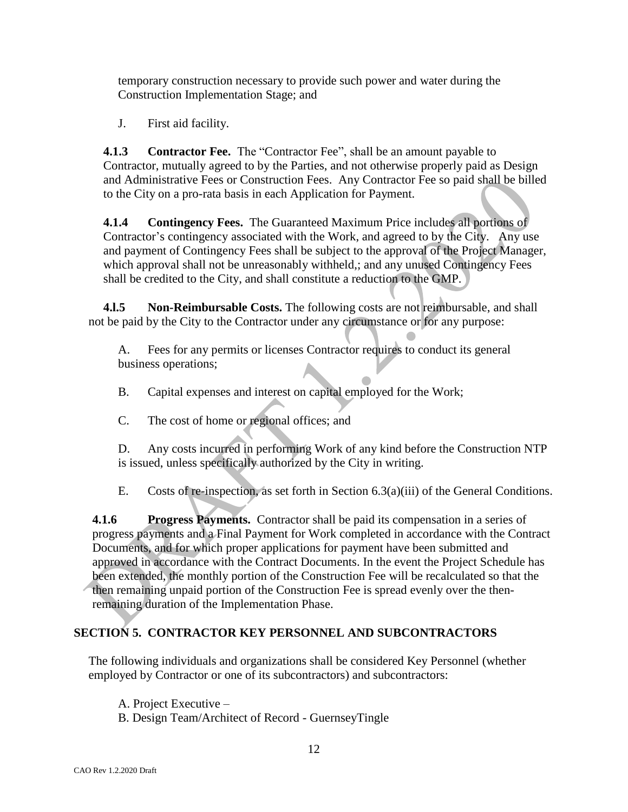temporary construction necessary to provide such power and water during the Construction Implementation Stage; and

J. First aid facility.

**4.1.3 Contractor Fee.** The "Contractor Fee", shall be an amount payable to Contractor, mutually agreed to by the Parties, and not otherwise properly paid as Design and Administrative Fees or Construction Fees. Any Contractor Fee so paid shall be billed to the City on a pro-rata basis in each Application for Payment.

**4.1.4 Contingency Fees.** The Guaranteed Maximum Price includes all portions of Contractor's contingency associated with the Work, and agreed to by the City. Any use and payment of Contingency Fees shall be subject to the approval of the Project Manager, which approval shall not be unreasonably withheld,; and any unused Contingency Fees shall be credited to the City, and shall constitute a reduction to the GMP.

**4.l.5 Non-Reimbursable Costs.** The following costs are not reimbursable, and shall not be paid by the City to the Contractor under any circumstance or for any purpose:

A. Fees for any permits or licenses Contractor requires to conduct its general business operations;

B. Capital expenses and interest on capital employed for the Work;

C. The cost of home or regional offices; and

D. Any costs incurred in performing Work of any kind before the Construction NTP is issued, unless specifically authorized by the City in writing.

E. Costs of re-inspection, as set forth in Section 6.3(a)(iii) of the General Conditions.

**4.1.6 Progress Payments.** Contractor shall be paid its compensation in a series of progress payments and a Final Payment for Work completed in accordance with the Contract Documents, and for which proper applications for payment have been submitted and approved in accordance with the Contract Documents. In the event the Project Schedule has been extended, the monthly portion of the Construction Fee will be recalculated so that the then remaining unpaid portion of the Construction Fee is spread evenly over the thenremaining duration of the Implementation Phase.

## **SECTION 5. CONTRACTOR KEY PERSONNEL AND SUBCONTRACTORS**

The following individuals and organizations shall be considered Key Personnel (whether employed by Contractor or one of its subcontractors) and subcontractors:

A. Project Executive –

B. Design Team/Architect of Record - GuernseyTingle